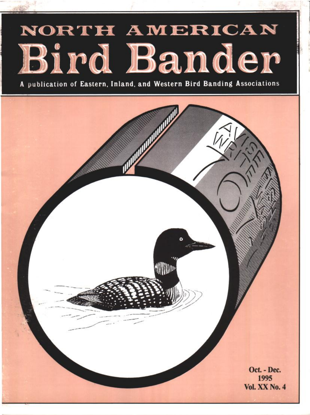# NORTH AMERICAN Bird Bander

A publication of Eastern, Inland, and Western Bird Banding Associations